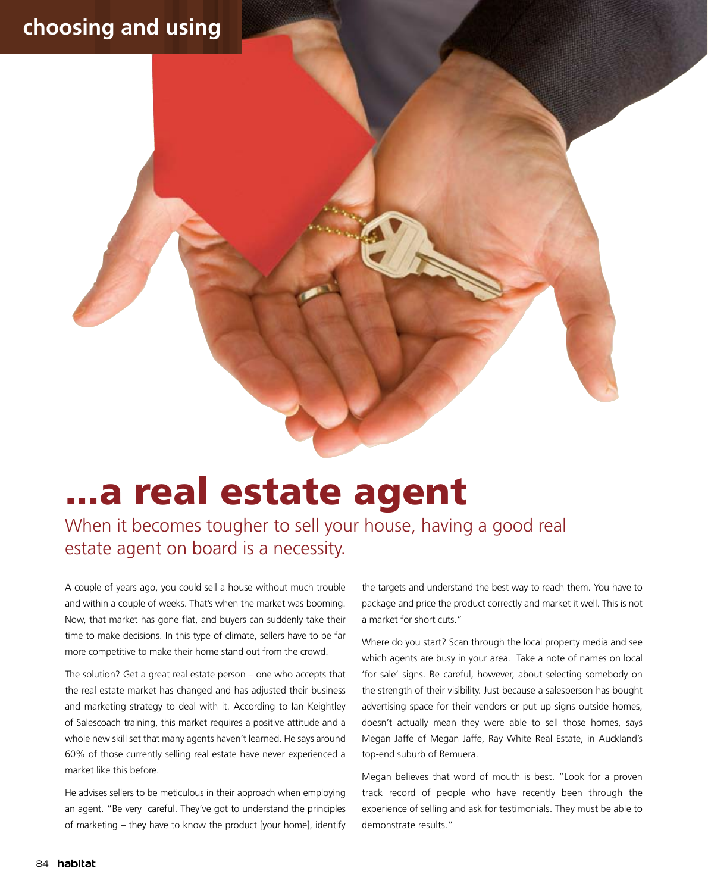## **choosing and using**

## ...a real estate agent

When it becomes tougher to sell your house, having a good real estate agent on board is a necessity.

A couple of years ago, you could sell a house without much trouble and within a couple of weeks. That's when the market was booming. Now, that market has gone flat, and buyers can suddenly take their time to make decisions. In this type of climate, sellers have to be far more competitive to make their home stand out from the crowd.

The solution? Get a great real estate person – one who accepts that the real estate market has changed and has adjusted their business and marketing strategy to deal with it. According to Ian Keightley of Salescoach training, this market requires a positive attitude and a whole new skill set that many agents haven't learned. He says around 60% of those currently selling real estate have never experienced a market like this before.

He advises sellers to be meticulous in their approach when employing an agent. "Be very careful. They've got to understand the principles of marketing – they have to know the product [your home], identify the targets and understand the best way to reach them. You have to package and price the product correctly and market it well. This is not a market for short cuts."

Where do you start? Scan through the local property media and see which agents are busy in your area. Take a note of names on local 'for sale' signs. Be careful, however, about selecting somebody on the strength of their visibility. Just because a salesperson has bought advertising space for their vendors or put up signs outside homes, doesn't actually mean they were able to sell those homes, says Megan Jaffe of Megan Jaffe, Ray White Real Estate, in Auckland's top-end suburb of Remuera.

Megan believes that word of mouth is best. "Look for a proven track record of people who have recently been through the experience of selling and ask for testimonials. They must be able to demonstrate results."